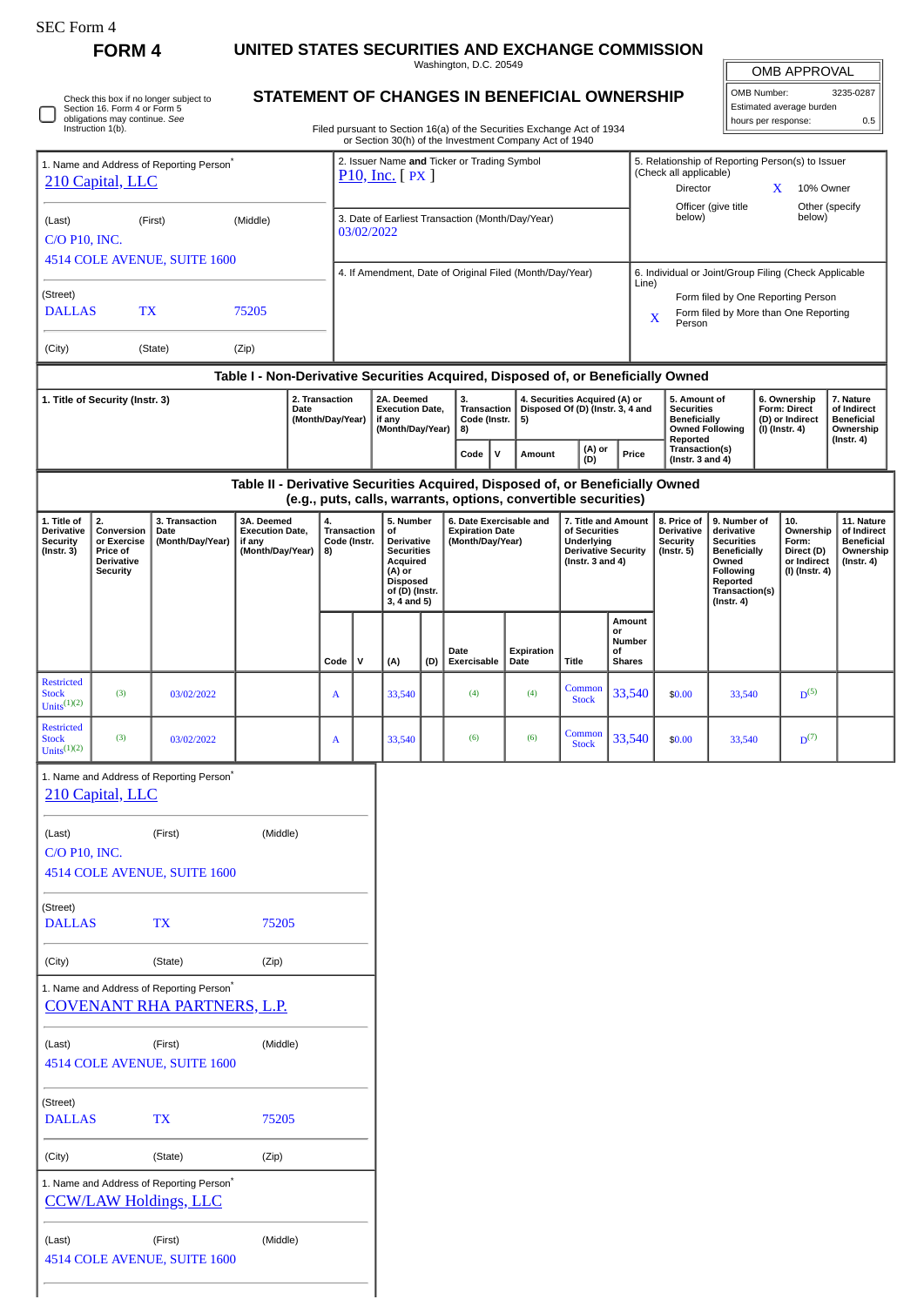|                                                                                                                                                                                      | FORM <sub>4</sub>                                               |                                                                                            |                                                                                                                                                                                  |  |                                                                |                                                                    |                                                                                                           |          | UNITED STATES SECURITIES AND EXCHANGE COMMISSION<br>Washington, D.C. 20549                                                                      |      |                                                                   |                                                                   |                                                                                                     |                                                  |                                                                                                    |                                                                                                                  |                                                            |                                                       |                                              |
|--------------------------------------------------------------------------------------------------------------------------------------------------------------------------------------|-----------------------------------------------------------------|--------------------------------------------------------------------------------------------|----------------------------------------------------------------------------------------------------------------------------------------------------------------------------------|--|----------------------------------------------------------------|--------------------------------------------------------------------|-----------------------------------------------------------------------------------------------------------|----------|-------------------------------------------------------------------------------------------------------------------------------------------------|------|-------------------------------------------------------------------|-------------------------------------------------------------------|-----------------------------------------------------------------------------------------------------|--------------------------------------------------|----------------------------------------------------------------------------------------------------|------------------------------------------------------------------------------------------------------------------|------------------------------------------------------------|-------------------------------------------------------|----------------------------------------------|
| Check this box if no longer subject to<br>Section 16. Form 4 or Form 5<br>obligations may continue. See<br>Instruction 1(b).<br>1. Name and Address of Reporting Person <sup>®</sup> |                                                                 |                                                                                            | STATEMENT OF CHANGES IN BENEFICIAL OWNERSHIP<br>Filed pursuant to Section 16(a) of the Securities Exchange Act of 1934<br>or Section 30(h) of the Investment Company Act of 1940 |  |                                                                |                                                                    |                                                                                                           |          |                                                                                                                                                 |      |                                                                   |                                                                   |                                                                                                     |                                                  | OMB APPROVAL<br>OMB Number:<br>3235-0287<br>Estimated average burden<br>hours per response:<br>0.5 |                                                                                                                  |                                                            |                                                       |                                              |
|                                                                                                                                                                                      |                                                                 |                                                                                            |                                                                                                                                                                                  |  |                                                                |                                                                    |                                                                                                           |          |                                                                                                                                                 |      |                                                                   |                                                                   |                                                                                                     |                                                  |                                                                                                    |                                                                                                                  |                                                            |                                                       |                                              |
|                                                                                                                                                                                      |                                                                 |                                                                                            |                                                                                                                                                                                  |  |                                                                |                                                                    | 2. Issuer Name and Ticker or Trading Symbol                                                               |          |                                                                                                                                                 |      |                                                                   |                                                                   |                                                                                                     | 5. Relationship of Reporting Person(s) to Issuer |                                                                                                    |                                                                                                                  |                                                            |                                                       |                                              |
| 210 Capital, LLC                                                                                                                                                                     |                                                                 |                                                                                            |                                                                                                                                                                                  |  | $P10$ , Inc. $\lceil PX \rceil$                                |                                                                    |                                                                                                           |          |                                                                                                                                                 |      |                                                                   |                                                                   | (Check all applicable)<br>Director<br>10% Owner<br>X.<br>Officer (give title<br>Other (specify      |                                                  |                                                                                                    |                                                                                                                  |                                                            |                                                       |                                              |
| (First)<br>(Middle)<br>(Last)<br><b>C/O P10, INC.</b>                                                                                                                                |                                                                 |                                                                                            |                                                                                                                                                                                  |  | 3. Date of Earliest Transaction (Month/Day/Year)<br>03/02/2022 |                                                                    |                                                                                                           |          |                                                                                                                                                 |      |                                                                   |                                                                   | below)<br>below)                                                                                    |                                                  |                                                                                                    |                                                                                                                  |                                                            |                                                       |                                              |
|                                                                                                                                                                                      |                                                                 | 4514 COLE AVENUE, SUITE 1600                                                               |                                                                                                                                                                                  |  |                                                                |                                                                    |                                                                                                           |          | 4. If Amendment, Date of Original Filed (Month/Day/Year)                                                                                        |      |                                                                   |                                                                   |                                                                                                     |                                                  |                                                                                                    |                                                                                                                  |                                                            | 6. Individual or Joint/Group Filing (Check Applicable |                                              |
| (Street)<br><b>DALLAS</b><br>TX<br>75205                                                                                                                                             |                                                                 |                                                                                            |                                                                                                                                                                                  |  |                                                                |                                                                    |                                                                                                           |          |                                                                                                                                                 |      |                                                                   |                                                                   | Line)<br>Form filed by One Reporting Person<br>Form filed by More than One Reporting<br>X<br>Person |                                                  |                                                                                                    |                                                                                                                  |                                                            |                                                       |                                              |
| (City)                                                                                                                                                                               |                                                                 | (State)                                                                                    | (Zip)                                                                                                                                                                            |  |                                                                |                                                                    |                                                                                                           |          |                                                                                                                                                 |      |                                                                   |                                                                   |                                                                                                     |                                                  |                                                                                                    |                                                                                                                  |                                                            |                                                       |                                              |
|                                                                                                                                                                                      |                                                                 |                                                                                            |                                                                                                                                                                                  |  |                                                                |                                                                    |                                                                                                           |          | Table I - Non-Derivative Securities Acquired, Disposed of, or Beneficially Owned                                                                |      |                                                                   |                                                                   |                                                                                                     |                                                  |                                                                                                    |                                                                                                                  |                                                            |                                                       |                                              |
| 2. Transaction<br>1. Title of Security (Instr. 3)<br>Date<br>(Month/Day/Year)                                                                                                        |                                                                 |                                                                                            |                                                                                                                                                                                  |  |                                                                | 2A. Deemed<br><b>Execution Date,</b><br>if any<br>(Month/Day/Year) |                                                                                                           | 3.<br>8) | <b>Transaction</b><br>Code (Instr.<br>5)                                                                                                        |      | 4. Securities Acquired (A) or<br>Disposed Of (D) (Instr. 3, 4 and |                                                                   | 5. Amount of<br><b>Securities</b><br><b>Beneficially</b>                                            |                                                  | <b>Owned Following</b>                                                                             | 6. Ownership<br>Form: Direct<br>(D) or Indirect<br>(I) (Instr. 4)                                                | 7. Nature<br>of Indirect<br><b>Beneficial</b><br>Ownership |                                                       |                                              |
|                                                                                                                                                                                      |                                                                 |                                                                                            |                                                                                                                                                                                  |  |                                                                |                                                                    |                                                                                                           |          | $\mathsf{v}$<br>Code                                                                                                                            |      | Amount                                                            | (A) or<br>(D)                                                     | Price                                                                                               |                                                  | Reported<br>Transaction(s)<br>(Instr. $3$ and $4$ )                                                |                                                                                                                  |                                                            |                                                       | (Instr. 4)                                   |
|                                                                                                                                                                                      |                                                                 |                                                                                            |                                                                                                                                                                                  |  |                                                                |                                                                    |                                                                                                           |          | Table II - Derivative Securities Acquired, Disposed of, or Beneficially Owned<br>(e.g., puts, calls, warrants, options, convertible securities) |      |                                                                   |                                                                   |                                                                                                     |                                                  |                                                                                                    |                                                                                                                  |                                                            |                                                       |                                              |
| 1. Title of<br><b>Derivative</b>                                                                                                                                                     | 2.<br>Conversion                                                | 3. Transaction<br>Date                                                                     | 3A. Deemed<br><b>Execution Date,</b>                                                                                                                                             |  | 4.<br><b>Transaction</b>                                       |                                                                    | 5. Number<br>οf                                                                                           |          | 6. Date Exercisable and<br><b>Expiration Date</b>                                                                                               |      |                                                                   | 7. Title and Amount<br>of Securities                              |                                                                                                     |                                                  | 8. Price of<br><b>Derivative</b>                                                                   | 9. Number of<br>derivative                                                                                       |                                                            | 10.<br>Ownership                                      | 11. Nature<br>of Indirect                    |
| <b>Security</b><br>$($ Instr. 3 $)$                                                                                                                                                  | or Exercise<br>Price of<br><b>Derivative</b><br><b>Security</b> | (Month/Day/Year)                                                                           | if any<br>(Month/Day/Year)                                                                                                                                                       |  | Code (Instr.<br>8)                                             |                                                                    | Derivative<br><b>Securities</b><br>Acquired<br>(A) or<br><b>Disposed</b><br>of (D) (Instr.<br>3, 4 and 5) |          | (Month/Day/Year)                                                                                                                                |      |                                                                   | Underlying<br><b>Derivative Security</b><br>(Instr. $3$ and $4$ ) |                                                                                                     |                                                  | <b>Security</b><br>$($ Instr. 5 $)$                                                                | <b>Securities</b><br><b>Beneficially</b><br>Owned<br>Following<br>Reported<br>Transaction(s)<br>$($ Instr. 4 $)$ |                                                            | Form:<br>Direct (D)<br>or Indirect<br>(I) (Instr. 4)  | <b>Beneficial</b><br>Ownership<br>(Instr. 4) |
|                                                                                                                                                                                      |                                                                 |                                                                                            |                                                                                                                                                                                  |  | Code                                                           | ${\sf v}$                                                          | (A)                                                                                                       | (D)      | Date<br>Exercisable                                                                                                                             | Date | Expiration                                                        | <b>Title</b>                                                      | Amount<br>or<br>Number<br>of<br><b>Shares</b>                                                       |                                                  |                                                                                                    |                                                                                                                  |                                                            |                                                       |                                              |
| <b>Restricted</b><br><b>Stock</b><br>Units $(1)(2)$                                                                                                                                  | (3)                                                             | 03/02/2022                                                                                 |                                                                                                                                                                                  |  | A                                                              |                                                                    | 33,540                                                                                                    |          | (4)                                                                                                                                             |      | (4)                                                               | Common<br><b>Stock</b>                                            | 33,540                                                                                              |                                                  | \$0.00                                                                                             | 33,540                                                                                                           |                                                            | $D^{(5)}$                                             |                                              |
| <b>Restricted</b><br><b>Stock</b><br>Units $(1)(2)$                                                                                                                                  | (3)                                                             | 03/02/2022                                                                                 |                                                                                                                                                                                  |  | A                                                              |                                                                    | 33,540                                                                                                    |          | (6)                                                                                                                                             |      | (6)                                                               | $\frac{\text{Common}}{\text{Coul}}$ 33,540<br><b>Stock</b>        |                                                                                                     |                                                  | \$0.00                                                                                             | 33,540                                                                                                           |                                                            | $D^{(7)}$                                             |                                              |
|                                                                                                                                                                                      | 210 Capital, LLC                                                | 1. Name and Address of Reporting Person <sup>*</sup>                                       |                                                                                                                                                                                  |  |                                                                |                                                                    |                                                                                                           |          |                                                                                                                                                 |      |                                                                   |                                                                   |                                                                                                     |                                                  |                                                                                                    |                                                                                                                  |                                                            |                                                       |                                              |
| (Last)<br><b>C/O P10, INC.</b>                                                                                                                                                       |                                                                 | (First)<br>4514 COLE AVENUE, SUITE 1600                                                    | (Middle)                                                                                                                                                                         |  |                                                                |                                                                    |                                                                                                           |          |                                                                                                                                                 |      |                                                                   |                                                                   |                                                                                                     |                                                  |                                                                                                    |                                                                                                                  |                                                            |                                                       |                                              |
| (Street)<br><b>DALLAS</b>                                                                                                                                                            |                                                                 | <b>TX</b>                                                                                  | 75205                                                                                                                                                                            |  |                                                                |                                                                    |                                                                                                           |          |                                                                                                                                                 |      |                                                                   |                                                                   |                                                                                                     |                                                  |                                                                                                    |                                                                                                                  |                                                            |                                                       |                                              |
| (City)                                                                                                                                                                               |                                                                 | (State)                                                                                    | (Zip)                                                                                                                                                                            |  |                                                                |                                                                    |                                                                                                           |          |                                                                                                                                                 |      |                                                                   |                                                                   |                                                                                                     |                                                  |                                                                                                    |                                                                                                                  |                                                            |                                                       |                                              |
|                                                                                                                                                                                      |                                                                 | 1. Name and Address of Reporting Person <sup>*</sup><br><b>COVENANT RHA PARTNERS, L.P.</b> |                                                                                                                                                                                  |  |                                                                |                                                                    |                                                                                                           |          |                                                                                                                                                 |      |                                                                   |                                                                   |                                                                                                     |                                                  |                                                                                                    |                                                                                                                  |                                                            |                                                       |                                              |
| (Last)                                                                                                                                                                               |                                                                 | (First)<br>4514 COLE AVENUE, SUITE 1600                                                    | (Middle)                                                                                                                                                                         |  |                                                                |                                                                    |                                                                                                           |          |                                                                                                                                                 |      |                                                                   |                                                                   |                                                                                                     |                                                  |                                                                                                    |                                                                                                                  |                                                            |                                                       |                                              |
| (Street)<br><b>DALLAS</b>                                                                                                                                                            |                                                                 | <b>TX</b>                                                                                  | 75205                                                                                                                                                                            |  |                                                                |                                                                    |                                                                                                           |          |                                                                                                                                                 |      |                                                                   |                                                                   |                                                                                                     |                                                  |                                                                                                    |                                                                                                                  |                                                            |                                                       |                                              |
| (City)                                                                                                                                                                               |                                                                 | (State)                                                                                    | (Zip)                                                                                                                                                                            |  |                                                                |                                                                    |                                                                                                           |          |                                                                                                                                                 |      |                                                                   |                                                                   |                                                                                                     |                                                  |                                                                                                    |                                                                                                                  |                                                            |                                                       |                                              |
|                                                                                                                                                                                      |                                                                 | 1. Name and Address of Reporting Person <sup>*</sup><br><b>CCW/LAW Holdings, LLC</b>       |                                                                                                                                                                                  |  |                                                                |                                                                    |                                                                                                           |          |                                                                                                                                                 |      |                                                                   |                                                                   |                                                                                                     |                                                  |                                                                                                    |                                                                                                                  |                                                            |                                                       |                                              |

| (Last) | (First)                      | (Middle) |
|--------|------------------------------|----------|
|        | 4514 COLE AVENUE, SUITE 1600 |          |

SEC Form 4